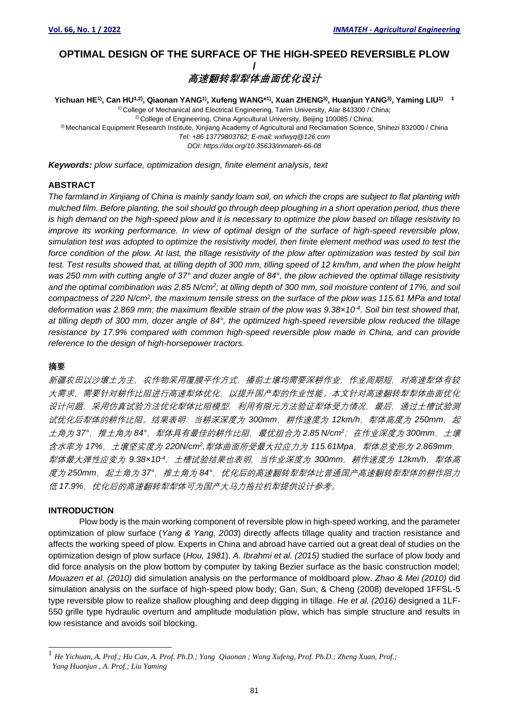# **OPTIMAL DESIGN OF THE SURFACE OF THE HIGH-SPEED REVERSIBLE PLOW /** *高速翻转犁犁体曲面优化设计*

Yichuan HE<sup>1)</sup>, Can HU<sup>1,2)</sup>, Qiaonan YANG<sup>1)</sup>, Xufeng WANG\*<sup>1)</sup>, Xuan ZHENG<sup>3)</sup>, Huanjun YANG<sup>3)</sup>, Yaming LIU<sup>1) 1</sup> <sup>1)</sup> College of Mechanical and Electrical Engineering, Tarim University, Alar 843300 / China; <sup>2)</sup> College of Engineering, China Agricultural University, Beijing 100085 / China; 3) Mechanical Equipment Research Institute, Xinjiang Academy of Agricultural and Reclamation Science, Shihezi 832000 / China *Tel: +86 13779803762; E-mail: wxfwyq@126.com DOI: https://doi.org/10.35633/inmateh-66-08*

*Keywords: plow surface, optimization design, finite element analysis, text*

## **ABSTRACT**

*The farmland in Xinjiang of China is mainly sandy loam soil, on which the crops are subject to flat planting with mulched film. Before planting, the soil should go through deep ploughing in a short operation period, thus there is high demand on the high-speed plow and it is necessary to optimize the plow based on tillage resistivity to improve its working performance. In view of optimal design of the surface of high-speed reversible plow, simulation test was adopted to optimize the resistivity model, then finite element method was used to test the force condition of the plow. At last, the tillage resistivity of the plow after optimization was tested by soil bin*  test. Test results showed that, at tilling depth of 300 mm, tilling speed of 12 km/hm, and when the plow height was 250 mm with cutting angle of 37° and dozer angle of 84°, the plow achieved the optimal tillage resistivity *and the optimal combination was 2.85 N/cm<sup>2</sup> ; at tilling depth of 300 mm, soil moisture content of 17%, and soil compactness of 220 N/cm<sup>2</sup> , the maximum tensile stress on the surface of the plow was 115.61 MPa and total deformation was 2.869 mm; the maximum flexible strain of the plow was 9.38×10-4 . Soil bin test showed that, at tilling depth of 300 mm, dozer angle of 84°, the optimized high-speed reversible plow reduced the tillage resistance by 17.9% compared with common high-speed reversible plow made in China, and can provide reference to the design of high-horsepower tractors.*

#### **摘要**

新疆农田以沙壤土为主,农作物采用覆膜平作方式,播前土壤均需要深耕作业,作业周期短,对高速犁体有较 大需求,需要针对耕作比阻进行高速犁体优化,以提升国产犁的作业性能。本文针对高速翻转犁犁体曲面优化 设计问题,采用仿真试验方法优化犁体比阻模型,利用有限元方法验证犁体受力情况,最后,通过土槽试验测 试优化后犁体的耕作比阻。结果表明:当耕深深度为 *300mm*,耕作速度为 *12km/h*,犁体高度为 *250mm*,起 土角为 *37°*,推土角为 *84°*,犁体具有最佳的耕作比阻,最优组合为 *2.85 N/cm<sup>2</sup>*;在作业深度为 *300mm*,土壤 含水率为 *17%*,土壤坚实度为 *220N/cm<sup>2</sup> ,*犁体曲面所受最大拉应力为 *115.61Mpa*,犁体总变形为 *2.869mm*, 犁体最大弹性应变为 *9.38×10-4*;土槽试验结果也表明,当作业深度为 *300mm*,耕作速度为 *12km/h*,犁体高 度为 250mm, 起土角为 37°, 推土角为 84°, 优化后的高速翻转犁犁体比普通国产高速翻转犁犁体的耕作阻力 低 17.9%,优化后的高速翻转犁犁体可为国产大马力拖拉机犁提供设计参考。

### **INTRODUCTION**

Plow body is the main working component of reversible plow in high-speed working, and the parameter optimization of plow surface (*Yang & Yang, 2003*) directly affects tillage quality and traction resistance and affects the working speed of plow. Experts in China and abroad have carried out a great deal of studies on the optimization design of plow surface (*Hou, 1981*). *A. Ibrahmi et al. (2015)* studied the surface of plow body and did force analysis on the plow bottom by computer by taking Bezier surface as the basic construction model; *Mouazen et al. (2010)* did simulation analysis on the performance of moldboard plow. *Zhao & Mei (2010)* did simulation analysis on the surface of high-speed plow body; Gan, Sun, & Cheng (2008) developed 1FFSL-5 type reversible plow to realize shallow ploughing and deep digging in tillage. *He et al. (2016)* designed a 1LF-550 grille type hydraulic overturn and amplitude modulation plow, which has simple structure and results in low resistance and avoids soil blocking.

<sup>1</sup> *He Yichuan, A. Prof.; Hu Can, A. Prof. Ph.D.; Yang Qiaonan ; Wang Xufeng, Prof. Ph.D.; Zheng Xuan, Prof.; Yang Huanjun , A. Prof.; Liu Yaming*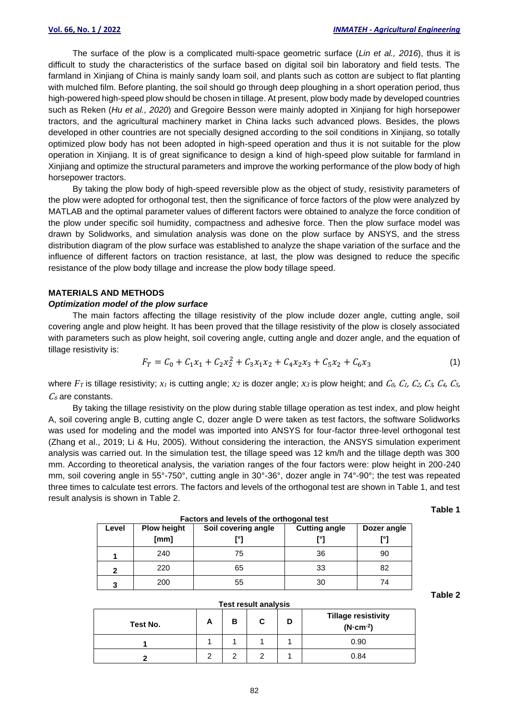The surface of the plow is a complicated multi-space geometric surface (*Lin et al., 2016*), thus it is difficult to study the characteristics of the surface based on digital soil bin laboratory and field tests. The farmland in Xinjiang of China is mainly sandy loam soil, and plants such as cotton are subject to flat planting with mulched film. Before planting, the soil should go through deep ploughing in a short operation period, thus high-powered high-speed plow should be chosen in tillage. At present, plow body made by developed countries such as Reken (*Hu et al., 2020*) and Gregoire Besson were mainly adopted in Xinjiang for high horsepower tractors, and the agricultural machinery market in China lacks such advanced plows. Besides, the plows developed in other countries are not specially designed according to the soil conditions in Xinjiang, so totally optimized plow body has not been adopted in high-speed operation and thus it is not suitable for the plow operation in Xinjiang. It is of great significance to design a kind of high-speed plow suitable for farmland in Xinjiang and optimize the structural parameters and improve the working performance of the plow body of high horsepower tractors.

By taking the plow body of high-speed reversible plow as the object of study, resistivity parameters of the plow were adopted for orthogonal test, then the significance of force factors of the plow were analyzed by MATLAB and the optimal parameter values of different factors were obtained to analyze the force condition of the plow under specific soil humidity, compactness and adhesive force. Then the plow surface model was drawn by Solidworks, and simulation analysis was done on the plow surface by ANSYS, and the stress distribution diagram of the plow surface was established to analyze the shape variation of the surface and the influence of different factors on traction resistance, at last, the plow was designed to reduce the specific resistance of the plow body tillage and increase the plow body tillage speed.

#### **MATERIALS AND METHODS**

### *Optimization model of the plow surface*

The main factors affecting the tillage resistivity of the plow include dozer angle, cutting angle, soil covering angle and plow height. It has been proved that the tillage resistivity of the plow is closely associated with parameters such as plow height, soil covering angle, cutting angle and dozer angle, and the equation of tillage resistivity is:

$$
F_T = C_0 + C_1 x_1 + C_2 x_2^2 + C_3 x_1 x_2 + C_4 x_2 x_3 + C_5 x_2 + C_6 x_3 \tag{1}
$$

where  $F_T$  is tillage resistivity;  $x_1$  is cutting angle;  $x_2$  is dozer angle;  $x_3$  is plow height; and  $C_0$ ,  $C_1$ ,  $C_2$ ,  $C_3$ ,  $C_4$ ,  $C_5$ ,  $C_6$  are constants.

By taking the tillage resistivity on the plow during stable tillage operation as test index, and plow height A, soil covering angle B, cutting angle C, dozer angle D were taken as test factors, the software Solidworks was used for modeling and the model was imported into ANSYS for four-factor three-level orthogonal test (Zhang et al., 2019; Li & Hu, 2005). Without considering the interaction, the ANSYS simulation experiment analysis was carried out. In the simulation test, the tillage speed was 12 km/h and the tillage depth was 300 mm. According to theoretical analysis, the variation ranges of the four factors were: plow height in 200-240 mm, soil covering angle in 55°-750°, cutting angle in 30°-36°, dozer angle in 74°-90°; the test was repeated three times to calculate test errors. The factors and levels of the orthogonal test are shown in Table 1, and test result analysis is shown in Table 2.

**Table 1**

| Factors and levels of the orthogonal test |                            |                     |                             |                   |  |  |  |  |  |
|-------------------------------------------|----------------------------|---------------------|-----------------------------|-------------------|--|--|--|--|--|
| Level                                     | <b>Plow height</b><br>[mm] | Soil covering angle | <b>Cutting angle</b><br>гот | Dozer angle<br>г۰ |  |  |  |  |  |
|                                           | 240                        | 75                  | 36                          | 90                |  |  |  |  |  |
|                                           | 220                        | 65                  | 33                          | 82                |  |  |  |  |  |
| 3                                         | 200                        | 55                  | 30                          | 74                |  |  |  |  |  |

**Table 2**

|  | Test result analysis |
|--|----------------------|
|  |                      |

| Test No. | <b>n</b> | в | С | <b>Tillage resistivity</b><br>$(N \cdot cm^{-2})$ |
|----------|----------|---|---|---------------------------------------------------|
|          |          |   |   | 0.90                                              |
|          |          |   |   | 0.84                                              |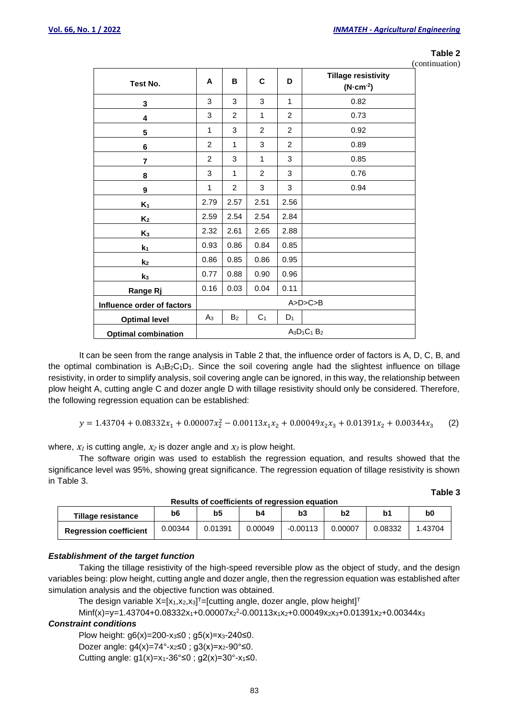### **Table 2**

**Table 3**

(continuation)

| Test No.                   | A              | в              | C              | D              | <b>Tillage resistivity</b><br>$(N$ -cm <sup>-2</sup> ) |
|----------------------------|----------------|----------------|----------------|----------------|--------------------------------------------------------|
| 3                          | 3              | 3              | 3              | 1              | 0.82                                                   |
| 4                          | 3              | 2              | $\mathbf{1}$   | $\overline{2}$ | 0.73                                                   |
| 5                          | 1              | 3              | $\overline{2}$ | $\overline{2}$ | 0.92                                                   |
| 6                          | 2              | 1              | 3              | $\overline{2}$ | 0.89                                                   |
| $\overline{\mathbf{r}}$    | 2              | 3              | $\mathbf{1}$   | 3              | 0.85                                                   |
| 8                          | 3              | 1              | $\overline{2}$ | 3              | 0.76                                                   |
| 9                          | 1              | $\overline{2}$ | 3              | 3              | 0.94                                                   |
| $K_1$                      | 2.79           | 2.57           | 2.51           | 2.56           |                                                        |
| K <sub>2</sub>             | 2.59           | 2.54           | 2.54           | 2.84           |                                                        |
| $K_3$                      | 2.32           | 2.61           | 2.65           | 2.88           |                                                        |
| $k_1$                      | 0.93           | 0.86           | 0.84           | 0.85           |                                                        |
| k <sub>2</sub>             | 0.86           | 0.85           | 0.86           | 0.95           |                                                        |
| $k_3$                      | 0.77           | 0.88           | 0.90           | 0.96           |                                                        |
| <b>Range Rj</b>            | 0.16           | 0.03           | 0.04           | 0.11           |                                                        |
| Influence order of factors |                |                |                |                | A>D>C>B                                                |
| <b>Optimal level</b>       | $A_3$          | B <sub>2</sub> | C <sub>1</sub> | $D_1$          |                                                        |
| <b>Optimal combination</b> | $A_3D_1C_1B_2$ |                |                |                |                                                        |

It can be seen from the range analysis in Table 2 that, the influence order of factors is A, D, C, B, and the optimal combination is  $A_3B_2C_1D_1$ . Since the soil covering angle had the slightest influence on tillage resistivity, in order to simplify analysis, soil covering angle can be ignored, in this way, the relationship between plow height A, cutting angle C and dozer angle D with tillage resistivity should only be considered. Therefore, the following regression equation can be established:

$$
y = 1.43704 + 0.08332x_1 + 0.00007x_2^2 - 0.00113x_1x_2 + 0.00049x_2x_3 + 0.01391x_2 + 0.00344x_3 \tag{2}
$$

where,  $x_1$  is cutting angle,  $x_2$  is dozer angle and  $x_3$  is plow height.

The software origin was used to establish the regression equation, and results showed that the significance level was 95%, showing great significance. The regression equation of tillage resistivity is shown in Table 3.

| Tillage resistance            | b6      | b5      | b4      | b3         | b2      | b1      | b0     |  |  |
|-------------------------------|---------|---------|---------|------------|---------|---------|--------|--|--|
| <b>Regression coefficient</b> | 0.00344 | 0.01391 | 0.00049 | $-0.00113$ | 0.00007 | 0.08332 | .43704 |  |  |

**Results of coefficients of regression equation**

## *Establishment of the target function*

Taking the tillage resistivity of the high-speed reversible plow as the object of study, and the design variables being: plow height, cutting angle and dozer angle, then the regression equation was established after simulation analysis and the objective function was obtained.

The design variable  $X=[x_1,x_2,x_3]^T=[$ cutting angle, dozer angle, plow height]<sup>T</sup>

Minf(x)=y=1.43704+0.08332x1+0.00007x<sup>2</sup> 2 -0.00113x1x2+0.00049x2x3+0.01391x2+0.00344x<sup>3</sup>

## *Constraint conditions*

Plow height:  $g6(x)=200-x_3≤0$ ;  $g5(x)=x_3-240≤0$ .

Dozer angle:  $g4(x)=74^{\circ} - x_2 \le 0$ ;  $g3(x)=x_2-90^{\circ} \le 0$ .

Cutting angle:  $g1(x)=x_1-36° ≤0$ ;  $g2(x)=30°-x_1 ≤0$ .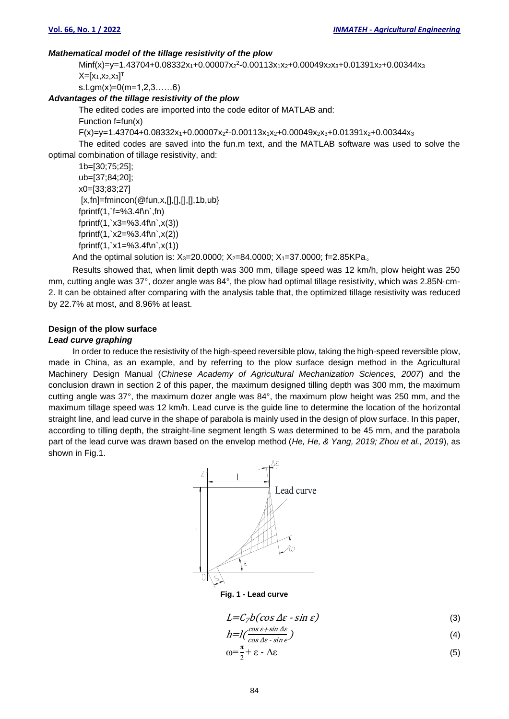### *Mathematical model of the tillage resistivity of the plow*

Minf(x)=y=1.43704+0.08332x1+0.00007x<sup>2</sup> 2 -0.00113x1x2+0.00049x2x3+0.01391x2+0.00344x<sup>3</sup>  $\mathsf{X}=[\mathsf{x}_1,\mathsf{x}_2,\mathsf{x}_3]^\intercal$ 

s.t.gm(x)=0(m=1,2,3……6)

## *Advantages of the tillage resistivity of the plow*

The edited codes are imported into the code editor of MATLAB and:

Function  $f=fun(x)$ 

F(x)=y=1.43704+0.08332x1+0.00007x<sup>2</sup> 2 -0.00113x1x2+0.00049x2x3+0.01391x2+0.00344x<sup>3</sup>

The edited codes are saved into the fun.m text, and the MATLAB software was used to solve the optimal combination of tillage resistivity, and:

```
1b=[30;75;25];
ub=[37;84;20];
x0=[33;83;27]
[x,fn]=fmincon(@fun,x,[],[],[],[],1b,ub}
fprintf(1,`f=%3.4f\n`,fn)
fprintf(1, x3=%3.4f\nx(3))
fprintf(1, x2=%3.4f(n, x(2))fprintf(1, x1=%3.4f\nx(1))
```
And the optimal solution is:  $X_3=20.0000$ ;  $X_2=84.0000$ ;  $X_1=37.0000$ ; f=2.85KPa.

Results showed that, when limit depth was 300 mm, tillage speed was 12 km/h, plow height was 250 mm, cutting angle was 37°, dozer angle was 84°, the plow had optimal tillage resistivity, which was 2.85N·cm-2. It can be obtained after comparing with the analysis table that, the optimized tillage resistivity was reduced by 22.7% at most, and 8.96% at least.

## **Design of the plow surface**

## *Lead curve graphing*

In order to reduce the resistivity of the high-speed reversible plow, taking the high-speed reversible plow, made in China, as an example, and by referring to the plow surface design method in the Agricultural Machinery Design Manual (*Chinese Academy of Agricultural Mechanization Sciences, 2007*) and the conclusion drawn in section 2 of this paper, the maximum designed tilling depth was 300 mm, the maximum cutting angle was 37°, the maximum dozer angle was 84°, the maximum plow height was 250 mm, and the maximum tillage speed was 12 km/h. Lead curve is the guide line to determine the location of the horizontal straight line, and lead curve in the shape of parabola is mainly used in the design of plow surface. In this paper, according to tilling depth, the straight-line segment length S was determined to be 45 mm, and the parabola part of the lead curve was drawn based on the envelop method (*He, He, & Yang, 2019; Zhou et al., 2019*), as shown in Fig.1.



**Fig. 1 - Lead curve**

$$
L = C_7 b(\cos \Delta \varepsilon - \sin \varepsilon) \tag{3}
$$

$$
h = l\left(\frac{\cos \varepsilon + \sin \Delta \varepsilon}{\cos \Delta \varepsilon - \sin \varepsilon}\right) \tag{4}
$$

$$
\omega = \frac{\pi}{2} + \varepsilon - \Delta \varepsilon \tag{5}
$$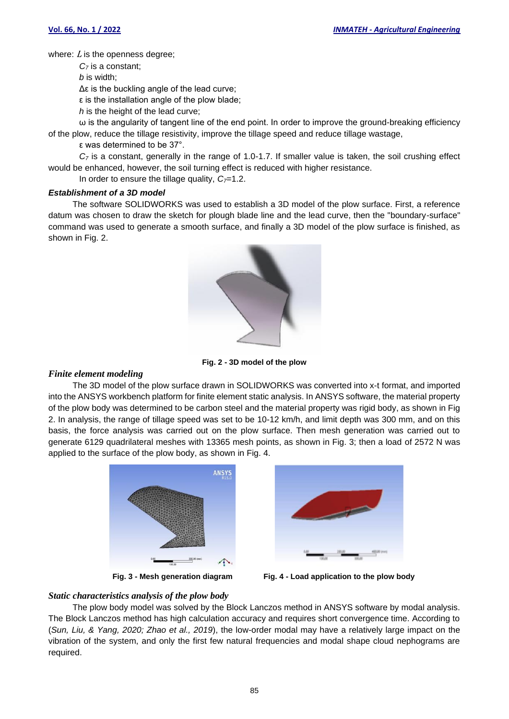where:  $L$  is the openness degree;

*C<sup>7</sup>* is a constant;

*b* is width;

Δε is the buckling angle of the lead curve;

ε is the installation angle of the plow blade;

*h* is the height of the lead curve;

ω is the angularity of tangent line of the end point. In order to improve the ground-breaking efficiency of the plow, reduce the tillage resistivity, improve the tillage speed and reduce tillage wastage,

ε was determined to be 37°.

*C<sup>7</sup>* is a constant, generally in the range of 1.0-1.7. If smaller value is taken, the soil crushing effect would be enhanced, however, the soil turning effect is reduced with higher resistance.

In order to ensure the tillage quality,  $C<sub>7</sub>=1.2$ .

## *Establishment of a 3D model*

The software SOLIDWORKS was used to establish a 3D model of the plow surface. First, a reference datum was chosen to draw the sketch for plough blade line and the lead curve, then the "boundary-surface" command was used to generate a smooth surface, and finally a 3D model of the plow surface is finished, as shown in Fig. 2.



**Fig. 2 - 3D model of the plow**

## *Finite element modeling*

The 3D model of the plow surface drawn in SOLIDWORKS was converted into x-t format, and imported into the ANSYS workbench platform for finite element static analysis. In ANSYS software, the material property of the plow body was determined to be carbon steel and the material property was rigid body, as shown in Fig 2. In analysis, the range of tillage speed was set to be 10-12 km/h, and limit depth was 300 mm, and on this basis, the force analysis was carried out on the plow surface. Then mesh generation was carried out to generate 6129 quadrilateral meshes with 13365 mesh points, as shown in Fig. 3; then a load of 2572 N was applied to the surface of the plow body, as shown in Fig. 4.





**Fig. 3 - Mesh generation diagram Fig. 4 - Load application to the plow body**

## *Static characteristics analysis of the plow body*

The plow body model was solved by the Block Lanczos method in ANSYS software by modal analysis. The Block Lanczos method has high calculation accuracy and requires short convergence time. According to (*Sun, Liu, & Yang, 2020; Zhao et al., 2019*), the low-order modal may have a relatively large impact on the vibration of the system, and only the first few natural frequencies and modal shape cloud nephograms are required.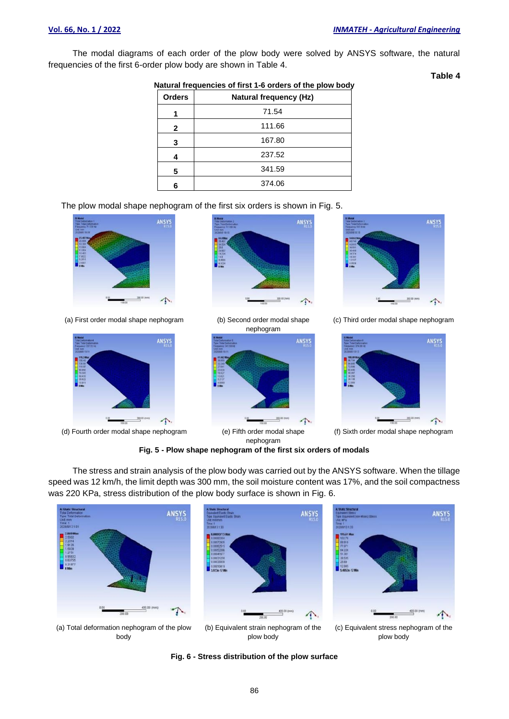The modal diagrams of each order of the plow body were solved by ANSYS software, the natural frequencies of the first 6-order plow body are shown in Table 4.

**Table 4**

| Natural frequencies of first 1-6 orders of the plow body |                               |  |  |  |  |
|----------------------------------------------------------|-------------------------------|--|--|--|--|
| <b>Orders</b>                                            | <b>Natural frequency (Hz)</b> |  |  |  |  |
|                                                          | 71.54                         |  |  |  |  |
| 2                                                        | 111.66                        |  |  |  |  |
| 3                                                        | 167.80                        |  |  |  |  |
|                                                          | 237.52                        |  |  |  |  |
| 5                                                        | 341.59                        |  |  |  |  |
| 6                                                        | 374.06                        |  |  |  |  |

#### **Natural frequencies of first 1-6 orders of the plow body**

The plow modal shape nephogram of the first six orders is shown in Fig. 5.



(a) First order modal shape nephogram (b) Second order modal shape



(d) Fourth order modal shape nephogram (e) Fifth order modal shape



nephogram





(c) Third order modal shape nephogram



(f) Sixth order modal shape nephogram

**Fig. 5 - Plow shape nephogram of the first six orders of modals**

nephogram

The stress and strain analysis of the plow body was carried out by the ANSYS software. When the tillage speed was 12 km/h, the limit depth was 300 mm, the soil moisture content was 17%, and the soil compactness was 220 KPa, stress distribution of the plow body surface is shown in Fig. 6.









(c) Equivalent stress nephogram of the plow body

**Fig. 6 - Stress distribution of the plow surface**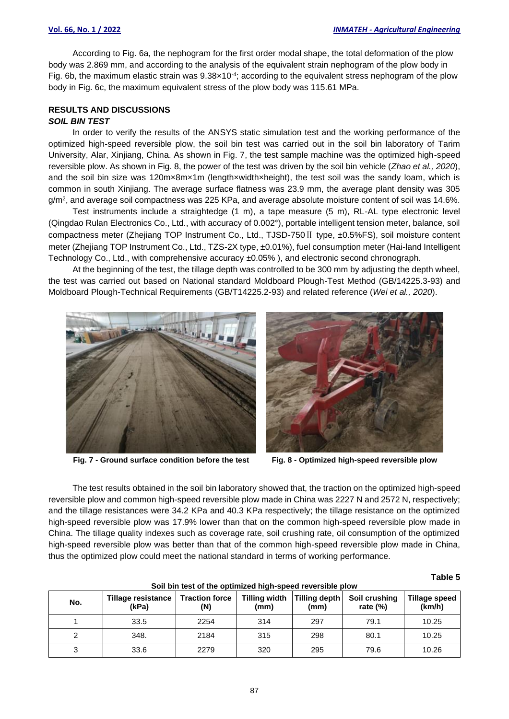According to Fig. 6a, the nephogram for the first order modal shape, the total deformation of the plow body was 2.869 mm, and according to the analysis of the equivalent strain nephogram of the plow body in Fig. 6b, the maximum elastic strain was  $9.38 \times 10^{-4}$ ; according to the equivalent stress nephogram of the plow body in Fig. 6c, the maximum equivalent stress of the plow body was 115.61 MPa.

## **RESULTS AND DISCUSSIONS**

## *SOIL BIN TEST*

In order to verify the results of the ANSYS static simulation test and the working performance of the optimized high-speed reversible plow, the soil bin test was carried out in the soil bin laboratory of Tarim University, Alar, Xinjiang, China. As shown in Fig. 7, the test sample machine was the optimized high-speed reversible plow. As shown in Fig. 8, the power of the test was driven by the soil bin vehicle (*Zhao et al., 2020*), and the soil bin size was 120mx8mx1m (lengthxwidthxheight), the test soil was the sandy loam, which is common in south Xinjiang. The average surface flatness was 23.9 mm, the average plant density was 305 g/m², and average soil compactness was 225 KPa, and average absolute moisture content of soil was 14.6%.

Test instruments include a straightedge (1 m), a tape measure (5 m), RL-AL type electronic level (Qingdao Rulan Electronics Co., Ltd., with accuracy of 0.002°), portable intelligent tension meter, balance, soil compactness meter (Zhejiang TOP Instrument Co., Ltd., TJSD-750Ⅱ type, ±0.5%FS), soil moisture content meter (Zhejiang TOP Instrument Co., Ltd., TZS-2X type, ±0.01%), fuel consumption meter (Hai-land Intelligent Technology Co., Ltd., with comprehensive accuracy ±0.05% ), and electronic second chronograph.

At the beginning of the test, the tillage depth was controlled to be 300 mm by adjusting the depth wheel, the test was carried out based on National standard Moldboard Plough-Test Method (GB/14225.3-93) and Moldboard Plough-Technical Requirements (GB/T14225.2-93) and related reference (*Wei et al., 2020*).



**Fig. 7 - Ground surface condition before the test Fig. 8 - Optimized high-speed reversible plow**

The test results obtained in the soil bin laboratory showed that, the traction on the optimized high-speed reversible plow and common high-speed reversible plow made in China was 2227 N and 2572 N, respectively; and the tillage resistances were 34.2 KPa and 40.3 KPa respectively; the tillage resistance on the optimized high-speed reversible plow was 17.9% lower than that on the common high-speed reversible plow made in China. The tillage quality indexes such as coverage rate, soil crushing rate, oil consumption of the optimized high-speed reversible plow was better than that of the common high-speed reversible plow made in China, thus the optimized plow could meet the national standard in terms of working performance.

| No. | Tillage resistance<br>(kPa) | <b>Traction force</b><br>(N) | Tilling width<br>(mm) | <b>Tilling depth</b><br>(mm) | Soil crushing<br>rate $(\%)$ | Tillage speed<br>(km/h) |
|-----|-----------------------------|------------------------------|-----------------------|------------------------------|------------------------------|-------------------------|
|     | 33.5                        | 2254                         | 314                   | 297                          | 79.1                         | 10.25                   |
|     | 348.                        | 2184                         | 315                   | 298                          | 80.1                         | 10.25                   |
| 3   | 33.6                        | 2279                         | 320                   | 295                          | 79.6                         | 10.26                   |

**Table 5**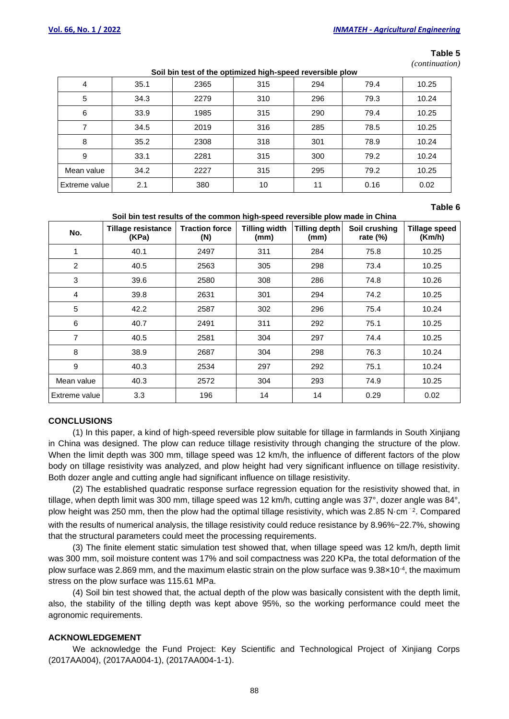#### **Table 5**

*(continuation)*

| Soil bin test of the optimized high-speed reversible plow |  |
|-----------------------------------------------------------|--|
|-----------------------------------------------------------|--|

| 4                    | 35.1 | 2365 | 315 | 294 | 79.4 | 10.25 |
|----------------------|------|------|-----|-----|------|-------|
| 5                    | 34.3 | 2279 | 310 | 296 | 79.3 | 10.24 |
| 6                    | 33.9 | 1985 | 315 | 290 | 79.4 | 10.25 |
| 7                    | 34.5 | 2019 | 316 | 285 | 78.5 | 10.25 |
| 8                    | 35.2 | 2308 | 318 | 301 | 78.9 | 10.24 |
| 9                    | 33.1 | 2281 | 315 | 300 | 79.2 | 10.24 |
| Mean value           | 34.2 | 2227 | 315 | 295 | 79.2 | 10.25 |
| <b>Extreme value</b> | 2.1  | 380  | 10  | 11  | 0.16 | 0.02  |

#### **Table 6**

#### **Soil bin test results of the common high-speed reversible plow made in China**

| No.            | <b>Tillage resistance</b><br>(KPa) | <b>Traction force</b><br>(N) | <b>Tilling width</b><br>(mm) | <b>Tilling depth</b><br>(mm) | Soil crushing<br>rate $(\%)$ | <b>Tillage speed</b><br>(Km/h) |
|----------------|------------------------------------|------------------------------|------------------------------|------------------------------|------------------------------|--------------------------------|
| 4              | 40.1                               | 2497                         | 311                          | 284                          | 75.8                         | 10.25                          |
| 2              | 40.5                               | 2563                         | 305                          | 298                          | 73.4                         | 10.25                          |
| 3              | 39.6                               | 2580                         | 308                          | 286                          | 74.8                         | 10.26                          |
| $\overline{4}$ | 39.8                               | 2631                         | 301                          | 294                          | 74.2                         | 10.25                          |
| 5              | 42.2                               | 2587                         | 302                          | 296                          | 75.4                         | 10.24                          |
| 6              | 40.7                               | 2491                         | 311                          | 292                          | 75.1                         | 10.25                          |
| $\overline{7}$ | 40.5                               | 2581                         | 304                          | 297                          | 74.4                         | 10.25                          |
| 8              | 38.9                               | 2687                         | 304                          | 298                          | 76.3                         | 10.24                          |
| 9              | 40.3                               | 2534                         | 297                          | 292                          | 75.1                         | 10.24                          |
| Mean value     | 40.3                               | 2572                         | 304                          | 293                          | 74.9                         | 10.25                          |
| Extreme value  | 3.3                                | 196                          | 14                           | 14                           | 0.29                         | 0.02                           |

### **CONCLUSIONS**

(1) In this paper, a kind of high-speed reversible plow suitable for tillage in farmlands in South Xinjiang in China was designed. The plow can reduce tillage resistivity through changing the structure of the plow. When the limit depth was 300 mm, tillage speed was 12 km/h, the influence of different factors of the plow body on tillage resistivity was analyzed, and plow height had very significant influence on tillage resistivity. Both dozer angle and cutting angle had significant influence on tillage resistivity.

(2) The established quadratic response surface regression equation for the resistivity showed that, in tillage, when depth limit was 300 mm, tillage speed was 12 km/h, cutting angle was 37°, dozer angle was 84°, plow height was 250 mm, then the plow had the optimal tillage resistivity, which was 2.85 N·cm<sup>-2</sup>. Compared with the results of numerical analysis, the tillage resistivity could reduce resistance by 8.96%~22.7%, showing that the structural parameters could meet the processing requirements.

(3) The finite element static simulation test showed that, when tillage speed was 12 km/h, depth limit was 300 mm, soil moisture content was 17% and soil compactness was 220 KPa, the total deformation of the plow surface was 2.869 mm, and the maximum elastic strain on the plow surface was 9.38×10<sup>-4</sup>, the maximum stress on the plow surface was 115.61 MPa.

(4) Soil bin test showed that, the actual depth of the plow was basically consistent with the depth limit, also, the stability of the tilling depth was kept above 95%, so the working performance could meet the agronomic requirements.

### **ACKNOWLEDGEMENT**

We acknowledge the Fund Project: Key Scientific and Technological Project of Xinjiang Corps (2017AA004), (2017AA004-1), (2017AA004-1-1).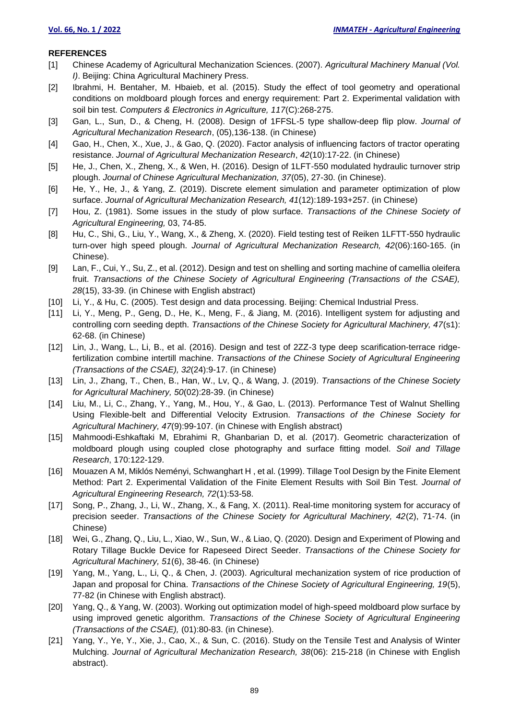### **REFERENCES**

- [1] Chinese Academy of Agricultural Mechanization Sciences. (2007). *Agricultural Machinery Manual (Vol. I)*. Beijing: China Agricultural Machinery Press.
- [2] Ibrahmi, H. Bentaher, M. Hbaieb, et al. (2015). Study the effect of tool geometry and operational conditions on moldboard plough forces and energy requirement: Part 2. Experimental validation with soil bin test. *Computers & Electronics in Agriculture, 117*(C):268-275.
- [3] Gan, L., Sun, D., & Cheng, H. (2008). Design of 1FFSL-5 type shallow-deep flip plow. *Journal of Agricultural Mechanization Research*, (05),136-138. (in Chinese)
- [4] Gao, H., Chen, X., Xue, J., & Gao, Q. (2020). Factor analysis of influencing factors of tractor operating resistance. *Journal of Agricultural Mechanization Research*, *42*(10):17-22. (in Chinese)
- [5] He, J., Chen, X., Zheng, X., & Wen, H. (2016). Design of 1LFT-550 modulated hydraulic turnover strip plough. *Journal of Chinese Agricultural Mechanization, 37*(05), 27-30. (in Chinese).
- [6] He, Y., He, J., & Yang, Z. (2019). Discrete element simulation and parameter optimization of plow surface. *Journal of Agricultural Mechanization Research, 41*(12):189-193+257. (in Chinese)
- [7] Hou, Z. (1981). Some issues in the study of plow surface. *Transactions of the Chinese Society of Agricultural Engineering,* 03, 74-85.
- [8] Hu, C., Shi, G., Liu, Y., Wang, X., & Zheng, X. (2020). Field testing test of Reiken 1LFTT-550 hydraulic turn-over high speed plough. *Journal of Agricultural Mechanization Research, 42*(06):160-165. (in Chinese).
- [9] Lan, F., Cui, Y., Su, Z., et al. (2012). Design and test on shelling and sorting machine of camellia oleifera fruit. *Transactions of the Chinese Society of Agricultural Engineering (Transactions of the CSAE), 28*(15), 33-39. (in Chinese with English abstract)
- [10] Li, Y., & Hu, C. (2005). Test design and data processing. Beijing: Chemical Industrial Press.
- [11] Li, Y., Meng, P., Geng, D., He, K., Meng, F., & Jiang, M. (2016). Intelligent system for adjusting and controlling corn seeding depth. *Transactions of the Chinese Society for Agricultural Machinery, 47*(s1): 62-68. (in Chinese)
- [12] Lin, J., Wang, L., Li, B., et al. (2016). Design and test of 2ZZ-3 type deep scarification-terrace ridgefertilization combine intertill machine. *Transactions of the Chinese Society of Agricultural Engineering (Transactions of the CSAE), 32*(24):9-17. (in Chinese)
- [13] Lin, J., Zhang, T., Chen, B., Han, W., Lv, Q., & Wang, J. (2019). *Transactions of the Chinese Society for Agricultural Machinery, 50*(02):28-39. (in Chinese)
- [14] Liu, M., Li, C., Zhang, Y., Yang, M., Hou, Y., & Gao, L. (2013). Performance Test of Walnut Shelling Using Flexible-belt and Differential Velocity Extrusion. *Transactions of the Chinese Society for Agricultural Machinery, 47*(9):99-107. (in Chinese with English abstract)
- [15] Mahmoodi-Eshkaftaki M, Ebrahimi R, Ghanbarian D, et al. (2017). Geometric characterization of moldboard plough using coupled close photography and surface fitting model. *Soil and Tillage Research*, 170:122-129.
- [16] Mouazen A M, Miklós Neményi, Schwanghart H , et al. (1999). Tillage Tool Design by the Finite Element Method: Part 2. Experimental Validation of the Finite Element Results with Soil Bin Test. *Journal of Agricultural Engineering Research, 72*(1):53-58.
- [17] Song, P., Zhang, J., Li, W., Zhang, X., & Fang, X. (2011). Real-time monitoring system for accuracy of precision seeder. *Transactions of the Chinese Society for Agricultural Machinery, 42*(2), 71-74. (in Chinese)
- [18] Wei, G., Zhang, Q., Liu, L., Xiao, W., Sun, W., & Liao, Q. (2020). Design and Experiment of Plowing and Rotary Tillage Buckle Device for Rapeseed Direct Seeder. *Transactions of the Chinese Society for Agricultural Machinery, 51*(6), 38-46. (in Chinese)
- [19] Yang, M., Yang, L., Li, Q., & Chen, J. (2003). Agricultural mechanization system of rice production of Japan and proposal for China. *Transactions of the Chinese Society of Agricultural Engineering, 19*(5), 77-82 (in Chinese with English abstract).
- [20] Yang, Q., & Yang, W. (2003). Working out optimization model of high-speed moldboard plow surface by using improved genetic algorithm. *Transactions of the Chinese Society of Agricultural Engineering (Transactions of the CSAE),* (01):80-83. (in Chinese).
- [21] Yang, Y., Ye, Y., Xie, J., Cao, X., & Sun, C. (2016). Study on the Tensile Test and Analysis of Winter Mulching. *Journal of Agricultural Mechanization Research, 38*(06): 215-218 (in Chinese with English abstract).